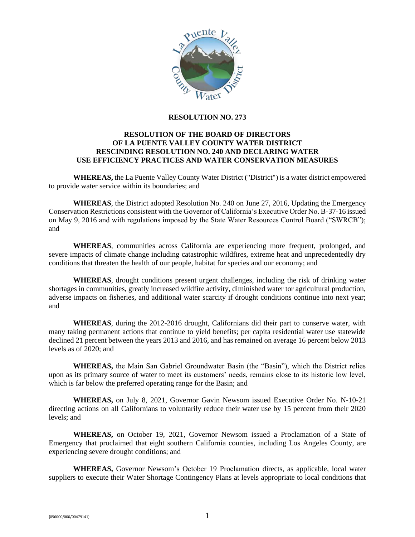

#### **RESOLUTION NO. 273**

## **RESOLUTION OF THE BOARD OF DIRECTORS OF LA PUENTE VALLEY COUNTY WATER DISTRICT RESCINDING RESOLUTION NO. 240 AND DECLARING WATER USE EFFICIENCY PRACTICES AND WATER CONSERVATION MEASURES**

**WHEREAS,** the La Puente Valley County Water District ("District") is a water district empowered to provide water service within its boundaries; and

**WHEREAS**, the District adopted Resolution No. 240 on June 27, 2016, Updating the Emergency Conservation Restrictions consistent with the Governor of California's Executive Order No. B-37-16 issued on May 9, 2016 and with regulations imposed by the State Water Resources Control Board ("SWRCB"); and

**WHEREAS**, communities across California are experiencing more frequent, prolonged, and severe impacts of climate change including catastrophic wildfires, extreme heat and unprecedentedly dry conditions that threaten the health of our people, habitat for species and our economy; and

**WHEREAS**, drought conditions present urgent challenges, including the risk of drinking water shortages in communities, greatly increased wildfire activity, diminished water tor agricultural production, adverse impacts on fisheries, and additional water scarcity if drought conditions continue into next year; and

**WHEREAS**, during the 2012-2016 drought, Californians did their part to conserve water, with many taking permanent actions that continue to yield benefits; per capita residential water use statewide declined 21 percent between the years 2013 and 2016, and has remained on average 16 percent below 2013 levels as of 2020; and

**WHEREAS,** the Main San Gabriel Groundwater Basin (the "Basin"), which the District relies upon as its primary source of water to meet its customers' needs, remains close to its historic low level, which is far below the preferred operating range for the Basin; and

**WHEREAS,** on July 8, 2021, Governor Gavin Newsom issued Executive Order No. N-10-21 directing actions on all Californians to voluntarily reduce their water use by 15 percent from their 2020 levels; and

**WHEREAS,** on October 19, 2021, Governor Newsom issued a Proclamation of a State of Emergency that proclaimed that eight southern California counties, including Los Angeles County, are experiencing severe drought conditions; and

**WHEREAS,** Governor Newsom's October 19 Proclamation directs, as applicable, local water suppliers to execute their Water Shortage Contingency Plans at levels appropriate to local conditions that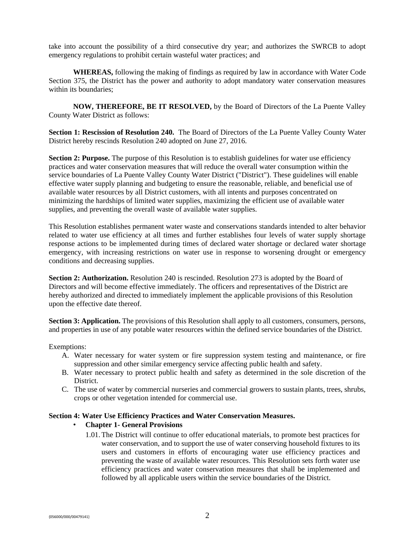take into account the possibility of a third consecutive dry year; and authorizes the SWRCB to adopt emergency regulations to prohibit certain wasteful water practices; and

**WHEREAS,** following the making of findings as required by law in accordance with Water Code Section 375, the District has the power and authority to adopt mandatory water conservation measures within its boundaries;

**NOW, THEREFORE, BE IT RESOLVED,** by the Board of Directors of the La Puente Valley County Water District as follows:

**Section 1: Rescission of Resolution 240.** The Board of Directors of the La Puente Valley County Water District hereby rescinds Resolution 240 adopted on June 27, 2016.

**Section 2: Purpose.** The purpose of this Resolution is to establish guidelines for water use efficiency practices and water conservation measures that will reduce the overall water consumption within the service boundaries of La Puente Valley County Water District ("District"). These guidelines will enable effective water supply planning and budgeting to ensure the reasonable, reliable, and beneficial use of available water resources by all District customers, with all intents and purposes concentrated on minimizing the hardships of limited water supplies, maximizing the efficient use of available water supplies, and preventing the overall waste of available water supplies.

This Resolution establishes permanent water waste and conservations standards intended to alter behavior related to water use efficiency at all times and further establishes four levels of water supply shortage response actions to be implemented during times of declared water shortage or declared water shortage emergency, with increasing restrictions on water use in response to worsening drought or emergency conditions and decreasing supplies.

**Section 2: Authorization.** Resolution 240 is rescinded. Resolution 273 is adopted by the Board of Directors and will become effective immediately. The officers and representatives of the District are hereby authorized and directed to immediately implement the applicable provisions of this Resolution upon the effective date thereof.

**Section 3: Application.** The provisions of this Resolution shall apply to all customers, consumers, persons, and properties in use of any potable water resources within the defined service boundaries of the District.

Exemptions:

- A. Water necessary for water system or fire suppression system testing and maintenance, or fire suppression and other similar emergency service affecting public health and safety.
- B. Water necessary to protect public health and safety as determined in the sole discretion of the District.
- C. The use of water by commercial nurseries and commercial growers to sustain plants, trees, shrubs, crops or other vegetation intended for commercial use.

### **Section 4: Water Use Efficiency Practices and Water Conservation Measures.**

### • **Chapter 1- General Provisions**

1.01.The District will continue to offer educational materials, to promote best practices for water conservation, and to support the use of water conserving household fixtures to its users and customers in efforts of encouraging water use efficiency practices and preventing the waste of available water resources. This Resolution sets forth water use efficiency practices and water conservation measures that shall be implemented and followed by all applicable users within the service boundaries of the District.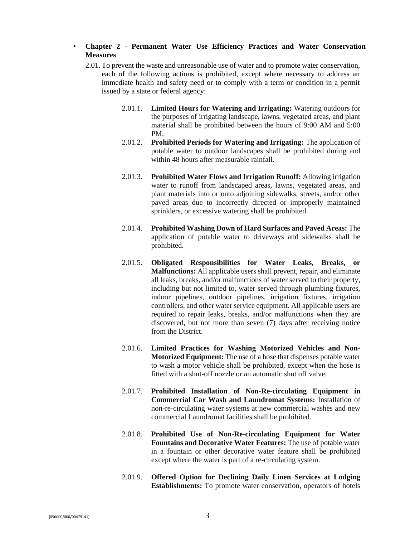# • **Chapter 2 - Permanent Water Use Efficiency Practices and Water Conservation Measures**

- 2.01. To prevent the waste and unreasonable use of water and to promote water conservation, each of the following actions is prohibited, except where necessary to address an immediate health and safety need or to comply with a term or condition in a permit issued by a state or federal agency:
	- 2.01.1. **Limited Hours for Watering and Irrigating:** Watering outdoors for the purposes of irrigating landscape, lawns, vegetated areas, and plant material shall be prohibited between the hours of 9:00 AM and 5:00 PM.
	- 2.01.2. **Prohibited Periods for Watering and Irrigating:** The application of potable water to outdoor landscapes shall be prohibited during and within 48 hours after measurable rainfall.
	- 2.01.3. **Prohibited Water Flows and Irrigation Runoff:** Allowing irrigation water to runoff from landscaped areas, lawns, vegetated areas, and plant materials into or onto adjoining sidewalks, streets, and/or other paved areas due to incorrectly directed or improperly maintained sprinklers, or excessive watering shall be prohibited.
	- 2.01.4. **Prohibited Washing Down of Hard Surfaces and Paved Areas:** The application of potable water to driveways and sidewalks shall be prohibited.
	- 2.01.5. **Obligated Responsibilities for Water Leaks, Breaks, or Malfunctions:** All applicable users shall prevent, repair, and eliminate all leaks, breaks, and/or malfunctions of water served to their property, including but not limited to, water served through plumbing fixtures, indoor pipelines, outdoor pipelines, irrigation fixtures, irrigation controllers, and other water service equipment. All applicable users are required to repair leaks, breaks, and/or malfunctions when they are discovered, but not more than seven (7) days after receiving notice from the District.
	- 2.01.6. **Limited Practices for Washing Motorized Vehicles and Non-Motorized Equipment:** The use of a hose that dispenses potable water to wash a motor vehicle shall be prohibited, except when the hose is fitted with a shut-off nozzle or an automatic shut off valve.
	- 2.01.7. **Prohibited Installation of Non-Re-circulating Equipment in Commercial Car Wash and Laundromat Systems:** Installation of non-re-circulating water systems at new commercial washes and new commercial Laundromat facilities shall be prohibited.
	- 2.01.8. **Prohibited Use of Non-Re-circulating Equipment for Water Fountains and Decorative Water Features:** The use of potable water in a fountain or other decorative water feature shall be prohibited except where the water is part of a re-circulating system.
	- 2.01.9. **Offered Option for Declining Daily Linen Services at Lodging Establishments:** To promote water conservation, operators of hotels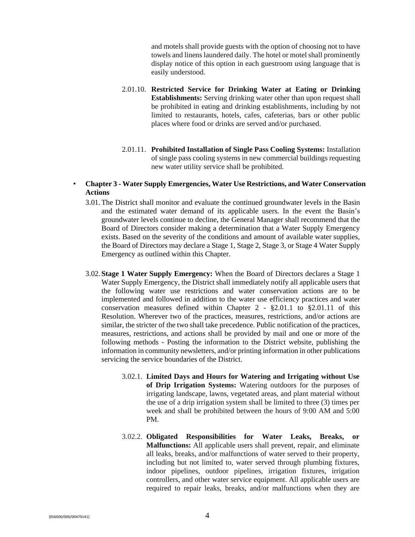and motels shall provide guests with the option of choosing not to have towels and linens laundered daily. The hotel or motel shall prominently display notice of this option in each guestroom using language that is easily understood.

- 2.01.10. **Restricted Service for Drinking Water at Eating or Drinking Establishments:** Serving drinking water other than upon request shall be prohibited in eating and drinking establishments, including by not limited to restaurants, hotels, cafes, cafeterias, bars or other public places where food or drinks are served and/or purchased.
- 2.01.11. **Prohibited Installation of Single Pass Cooling Systems:** Installation of single pass cooling systems in new commercial buildings requesting new water utility service shall be prohibited.

## • **Chapter 3 - Water Supply Emergencies, Water Use Restrictions, and Water Conservation Actions**

- 3.01.The District shall monitor and evaluate the continued groundwater levels in the Basin and the estimated water demand of its applicable users. In the event the Basin's groundwater levels continue to decline, the General Manager shall recommend that the Board of Directors consider making a determination that a Water Supply Emergency exists. Based on the severity of the conditions and amount of available water supplies, the Board of Directors may declare a Stage 1, Stage 2, Stage 3, or Stage 4 Water Supply Emergency as outlined within this Chapter.
- 3.02. **Stage 1 Water Supply Emergency:** When the Board of Directors declares a Stage 1 Water Supply Emergency, the District shall immediately notify all applicable users that the following water use restrictions and water conservation actions are to be implemented and followed in addition to the water use efficiency practices and water conservation measures defined within Chapter 2 - §2.01.1 to §2.01.11 of this Resolution. Wherever two of the practices, measures, restrictions, and/or actions are similar, the stricter of the two shall take precedence. Public notification of the practices, measures, restrictions, and actions shall be provided by mail and one or more of the following methods - Posting the information to the District website, publishing the information in community newsletters, and/or printing information in other publications servicing the service boundaries of the District.
	- 3.02.1. **Limited Days and Hours for Watering and Irrigating without Use of Drip Irrigation Systems:** Watering outdoors for the purposes of irrigating landscape, lawns, vegetated areas, and plant material without the use of a drip irrigation system shall be limited to three (3) times per week and shall be prohibited between the hours of 9:00 AM and 5:00 PM.
	- 3.02.2. **Obligated Responsibilities for Water Leaks, Breaks, or Malfunctions:** All applicable users shall prevent, repair, and eliminate all leaks, breaks, and/or malfunctions of water served to their property, including but not limited to, water served through plumbing fixtures, indoor pipelines, outdoor pipelines, irrigation fixtures, irrigation controllers, and other water service equipment. All applicable users are required to repair leaks, breaks, and/or malfunctions when they are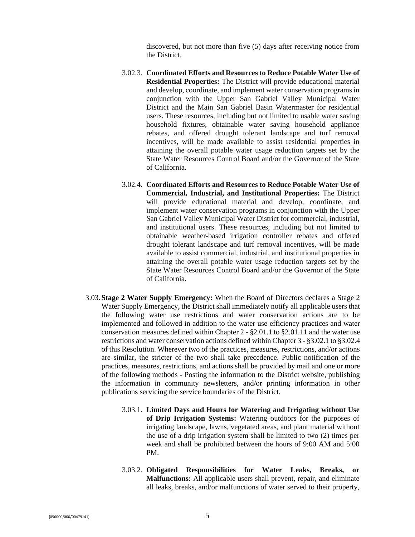discovered, but not more than five (5) days after receiving notice from the District.

- 3.02.3. **Coordinated Efforts and Resources to Reduce Potable Water Use of Residential Properties:** The District will provide educational material and develop, coordinate, and implement water conservation programs in conjunction with the Upper San Gabriel Valley Municipal Water District and the Main San Gabriel Basin Watermaster for residential users. These resources, including but not limited to usable water saving household fixtures, obtainable water saving household appliance rebates, and offered drought tolerant landscape and turf removal incentives, will be made available to assist residential properties in attaining the overall potable water usage reduction targets set by the State Water Resources Control Board and/or the Governor of the State of California.
- 3.02.4. **Coordinated Efforts and Resources to Reduce Potable Water Use of Commercial, Industrial, and Institutional Properties:** The District will provide educational material and develop, coordinate, and implement water conservation programs in conjunction with the Upper San Gabriel Valley Municipal Water District for commercial, industrial, and institutional users. These resources, including but not limited to obtainable weather-based irrigation controller rebates and offered drought tolerant landscape and turf removal incentives, will be made available to assist commercial, industrial, and institutional properties in attaining the overall potable water usage reduction targets set by the State Water Resources Control Board and/or the Governor of the State of California.
- 3.03. **Stage 2 Water Supply Emergency:** When the Board of Directors declares a Stage 2 Water Supply Emergency, the District shall immediately notify all applicable users that the following water use restrictions and water conservation actions are to be implemented and followed in addition to the water use efficiency practices and water conservation measures defined within Chapter 2 - §2.01.1 to §2.01.11 and the water use restrictions and water conservation actions defined within Chapter 3 - §3.02.1 to §3.02.4 of this Resolution. Wherever two of the practices, measures, restrictions, and/or actions are similar, the stricter of the two shall take precedence. Public notification of the practices, measures, restrictions, and actions shall be provided by mail and one or more of the following methods - Posting the information to the District website, publishing the information in community newsletters, and/or printing information in other publications servicing the service boundaries of the District.
	- 3.03.1. **Limited Days and Hours for Watering and Irrigating without Use of Drip Irrigation Systems:** Watering outdoors for the purposes of irrigating landscape, lawns, vegetated areas, and plant material without the use of a drip irrigation system shall be limited to two (2) times per week and shall be prohibited between the hours of 9:00 AM and 5:00 PM.
	- 3.03.2. **Obligated Responsibilities for Water Leaks, Breaks, or Malfunctions:** All applicable users shall prevent, repair, and eliminate all leaks, breaks, and/or malfunctions of water served to their property,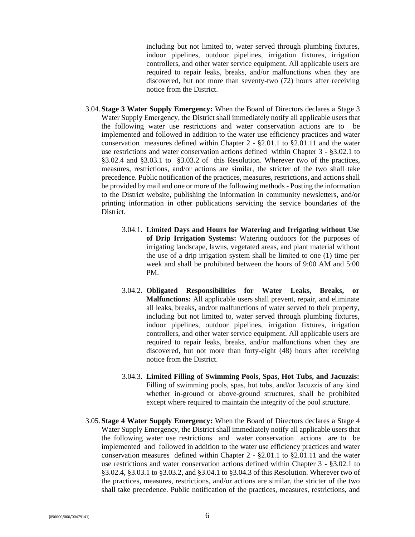including but not limited to, water served through plumbing fixtures, indoor pipelines, outdoor pipelines, irrigation fixtures, irrigation controllers, and other water service equipment. All applicable users are required to repair leaks, breaks, and/or malfunctions when they are discovered, but not more than seventy-two (72) hours after receiving notice from the District.

- 3.04. **Stage 3 Water Supply Emergency:** When the Board of Directors declares a Stage 3 Water Supply Emergency, the District shall immediately notify all applicable users that the following water use restrictions and water conservation actions are to be implemented and followed in addition to the water use efficiency practices and water conservation measures defined within Chapter 2 - §2.01.1 to §2.01.11 and the water use restrictions and water conservation actions defined within Chapter 3 - §3.02.1 to §3.02.4 and §3.03.1 to §3.03.2 of this Resolution. Wherever two of the practices, measures, restrictions, and/or actions are similar, the stricter of the two shall take precedence. Public notification of the practices, measures, restrictions, and actions shall be provided by mail and one or more of the following methods - Posting the information to the District website, publishing the information in community newsletters, and/or printing information in other publications servicing the service boundaries of the District.
	- 3.04.1. **Limited Days and Hours for Watering and Irrigating without Use of Drip Irrigation Systems:** Watering outdoors for the purposes of irrigating landscape, lawns, vegetated areas, and plant material without the use of a drip irrigation system shall be limited to one (1) time per week and shall be prohibited between the hours of 9:00 AM and 5:00 PM.
	- 3.04.2. **Obligated Responsibilities for Water Leaks, Breaks, or Malfunctions:** All applicable users shall prevent, repair, and eliminate all leaks, breaks, and/or malfunctions of water served to their property, including but not limited to, water served through plumbing fixtures, indoor pipelines, outdoor pipelines, irrigation fixtures, irrigation controllers, and other water service equipment. All applicable users are required to repair leaks, breaks, and/or malfunctions when they are discovered, but not more than forty-eight (48) hours after receiving notice from the District.
	- 3.04.3. **Limited Filling of Swimming Pools, Spas, Hot Tubs, and Jacuzzis:** Filling of swimming pools, spas, hot tubs, and/or Jacuzzis of any kind whether in-ground or above-ground structures, shall be prohibited except where required to maintain the integrity of the pool structure.
- 3.05. **Stage 4 Water Supply Emergency:** When the Board of Directors declares a Stage 4 Water Supply Emergency, the District shall immediately notify all applicable users that the following water use restrictions and water conservation actions are to be implemented and followed in addition to the water use efficiency practices and water conservation measures defined within Chapter 2 - §2.01.1 to §2.01.11 and the water use restrictions and water conservation actions defined within Chapter 3 - §3.02.1 to §3.02.4, §3.03.1 to §3.03.2, and §3.04.1 to §3.04.3 of this Resolution. Wherever two of the practices, measures, restrictions, and/or actions are similar, the stricter of the two shall take precedence. Public notification of the practices, measures, restrictions, and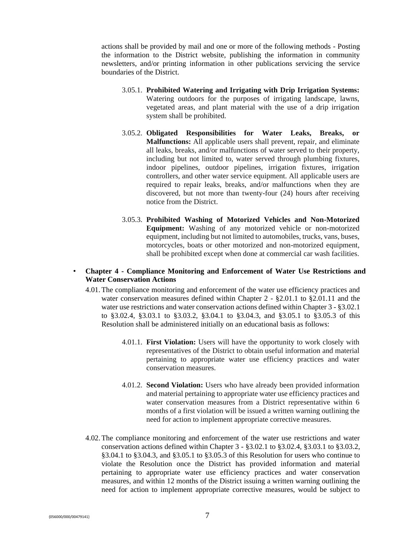actions shall be provided by mail and one or more of the following methods - Posting the information to the District website, publishing the information in community newsletters, and/or printing information in other publications servicing the service boundaries of the District.

- 3.05.1. **Prohibited Watering and Irrigating with Drip Irrigation Systems:** Watering outdoors for the purposes of irrigating landscape, lawns, vegetated areas, and plant material with the use of a drip irrigation system shall be prohibited.
- 3.05.2. **Obligated Responsibilities for Water Leaks, Breaks, or Malfunctions:** All applicable users shall prevent, repair, and eliminate all leaks, breaks, and/or malfunctions of water served to their property, including but not limited to, water served through plumbing fixtures, indoor pipelines, outdoor pipelines, irrigation fixtures, irrigation controllers, and other water service equipment. All applicable users are required to repair leaks, breaks, and/or malfunctions when they are discovered, but not more than twenty-four (24) hours after receiving notice from the District.
- 3.05.3. **Prohibited Washing of Motorized Vehicles and Non-Motorized Equipment:** Washing of any motorized vehicle or non-motorized equipment, including but not limited to automobiles, trucks, vans, buses, motorcycles, boats or other motorized and non-motorized equipment, shall be prohibited except when done at commercial car wash facilities.

### • **Chapter 4 - Compliance Monitoring and Enforcement of Water Use Restrictions and Water Conservation Actions**

- 4.01.The compliance monitoring and enforcement of the water use efficiency practices and water conservation measures defined within Chapter 2 - §2.01.1 to §2.01.11 and the water use restrictions and water conservation actions defined within Chapter 3 - §3.02.1 to §3.02.4, §3.03.1 to §3.03.2, §3.04.1 to §3.04.3, and §3.05.1 to §3.05.3 of this Resolution shall be administered initially on an educational basis as follows:
	- 4.01.1. **First Violation:** Users will have the opportunity to work closely with representatives of the District to obtain useful information and material pertaining to appropriate water use efficiency practices and water conservation measures.
	- 4.01.2. **Second Violation:** Users who have already been provided information and material pertaining to appropriate water use efficiency practices and water conservation measures from a District representative within 6 months of a first violation will be issued a written warning outlining the need for action to implement appropriate corrective measures.
- 4.02.The compliance monitoring and enforcement of the water use restrictions and water conservation actions defined within Chapter 3 - §3.02.1 to §3.02.4, §3.03.1 to §3.03.2, §3.04.1 to §3.04.3, and §3.05.1 to §3.05.3 of this Resolution for users who continue to violate the Resolution once the District has provided information and material pertaining to appropriate water use efficiency practices and water conservation measures, and within 12 months of the District issuing a written warning outlining the need for action to implement appropriate corrective measures, would be subject to